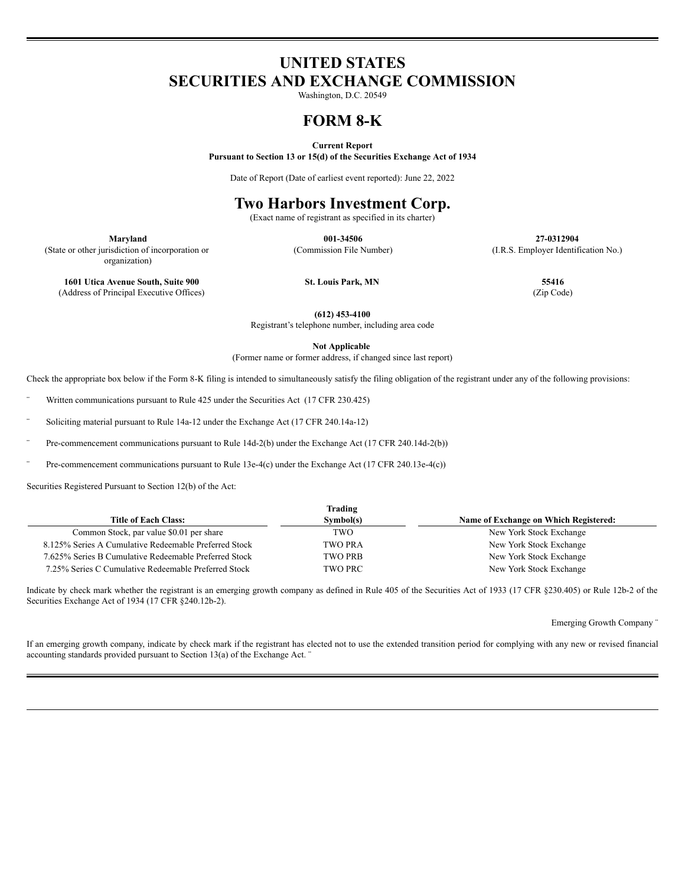# **UNITED STATES SECURITIES AND EXCHANGE COMMISSION**

Washington, D.C. 20549

## **FORM 8-K**

**Current Report**

**Pursuant to Section 13 or 15(d) of the Securities Exchange Act of 1934**

Date of Report (Date of earliest event reported): June 22, 2022

## **Two Harbors Investment Corp.**

(Exact name of registrant as specified in its charter)

**Maryland 001-34506 27-0312904** (Commission File Number) (I.R.S. Employer Identification No.)

organization) **1601 Utica Avenue South, Suite 900 St. Louis Park, MN 55416** (Address of Principal Executive Offices) (Zip Code)

(State or other jurisdiction of incorporation or

**(612) 453-4100**

Registrant's telephone number, including area code

**Not Applicable**

(Former name or former address, if changed since last report)

Check the appropriate box below if the Form 8-K filing is intended to simultaneously satisfy the filing obligation of the registrant under any of the following provisions:

Written communications pursuant to Rule 425 under the Securities Act (17 CFR 230.425)

Soliciting material pursuant to Rule 14a-12 under the Exchange Act (17 CFR 240.14a-12)

Pre-commencement communications pursuant to Rule 14d-2(b) under the Exchange Act (17 CFR 240.14d-2(b))

Pre-commencement communications pursuant to Rule 13e-4(c) under the Exchange Act (17 CFR 240.13e-4(c))

Securities Registered Pursuant to Section 12(b) of the Act:

| Trading                                               |                |                                       |
|-------------------------------------------------------|----------------|---------------------------------------|
| <b>Title of Each Class:</b>                           | Symbol(s)      | Name of Exchange on Which Registered: |
| Common Stock, par value \$0.01 per share              | TWO            | New York Stock Exchange               |
| 8.125% Series A Cumulative Redeemable Preferred Stock | <b>TWO PRA</b> | New York Stock Exchange               |
| 7.625% Series B Cumulative Redeemable Preferred Stock | <b>TWO PRB</b> | New York Stock Exchange               |
| 7.25% Series C Cumulative Redeemable Preferred Stock  | <b>TWO PRC</b> | New York Stock Exchange               |

Indicate by check mark whether the registrant is an emerging growth company as defined in Rule 405 of the Securities Act of 1933 (17 CFR §230.405) or Rule 12b-2 of the Securities Exchange Act of 1934 (17 CFR §240.12b-2).

Emerging Growth Company ¨

If an emerging growth company, indicate by check mark if the registrant has elected not to use the extended transition period for complying with any new or revised financial accounting standards provided pursuant to Section 13(a) of the Exchange Act. ¨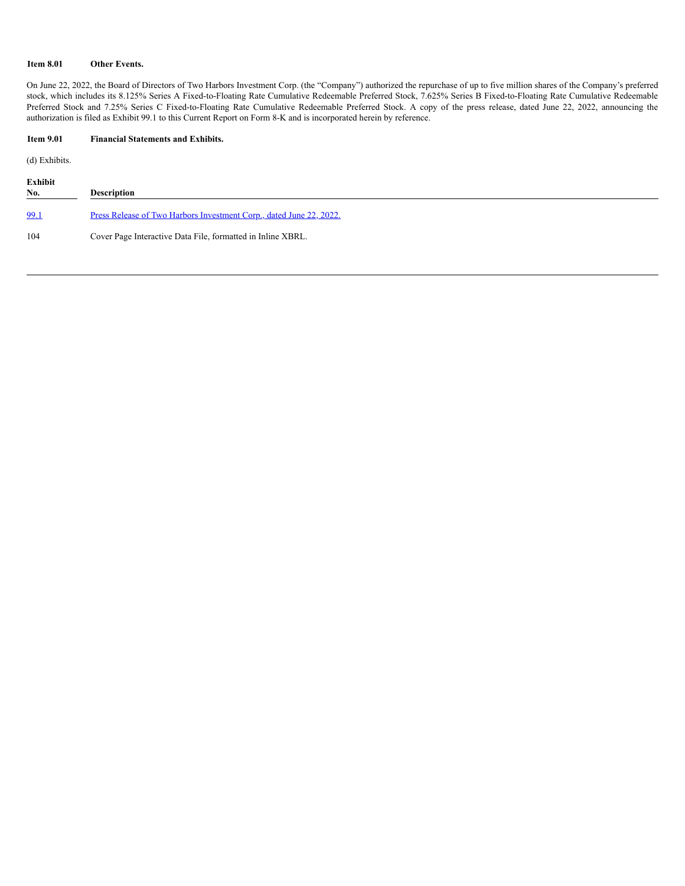### **Item 8.01 Other Events.**

On June 22, 2022, the Board of Directors of Two Harbors Investment Corp. (the "Company") authorized the repurchase of up to five million shares of the Company's preferred stock, which includes its 8.125% Series A Fixed-to-Floating Rate Cumulative Redeemable Preferred Stock, 7.625% Series B Fixed-to-Floating Rate Cumulative Redeemable Preferred Stock and 7.25% Series C Fixed-to-Floating Rate Cumulative Redeemable Preferred Stock. A copy of the press release, dated June 22, 2022, announcing the authorization is filed as Exhibit 99.1 to this Current Report on Form 8-K and is incorporated herein by reference.

### **Item 9.01 Financial Statements and Exhibits.**

(d) Exhibits.

| Exhibit<br>No. | <b>Description</b>                                                         |
|----------------|----------------------------------------------------------------------------|
| 99.1           | <u>Press Release of Two Harbors Investment Corp., dated June 22, 2022.</u> |
| 104            | Cover Page Interactive Data File, formatted in Inline XBRL.                |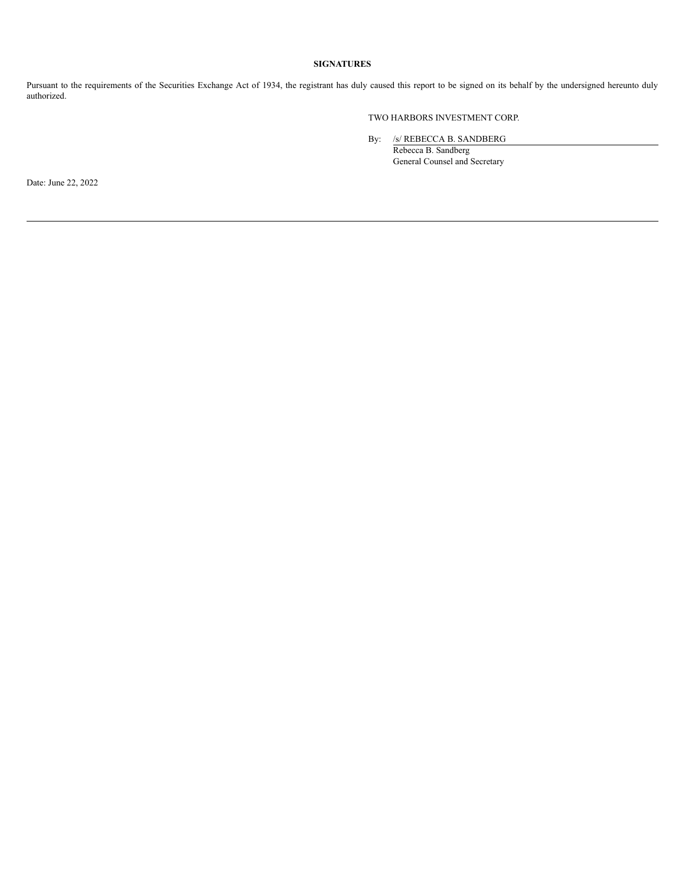### **SIGNATURES**

Pursuant to the requirements of the Securities Exchange Act of 1934, the registrant has duly caused this report to be signed on its behalf by the undersigned hereunto duly authorized.

### TWO HARBORS INVESTMENT CORP.

By: /s/ REBECCA B. SANDBERG

Rebecca B. Sandberg General Counsel and Secretary

Date: June 22, 2022